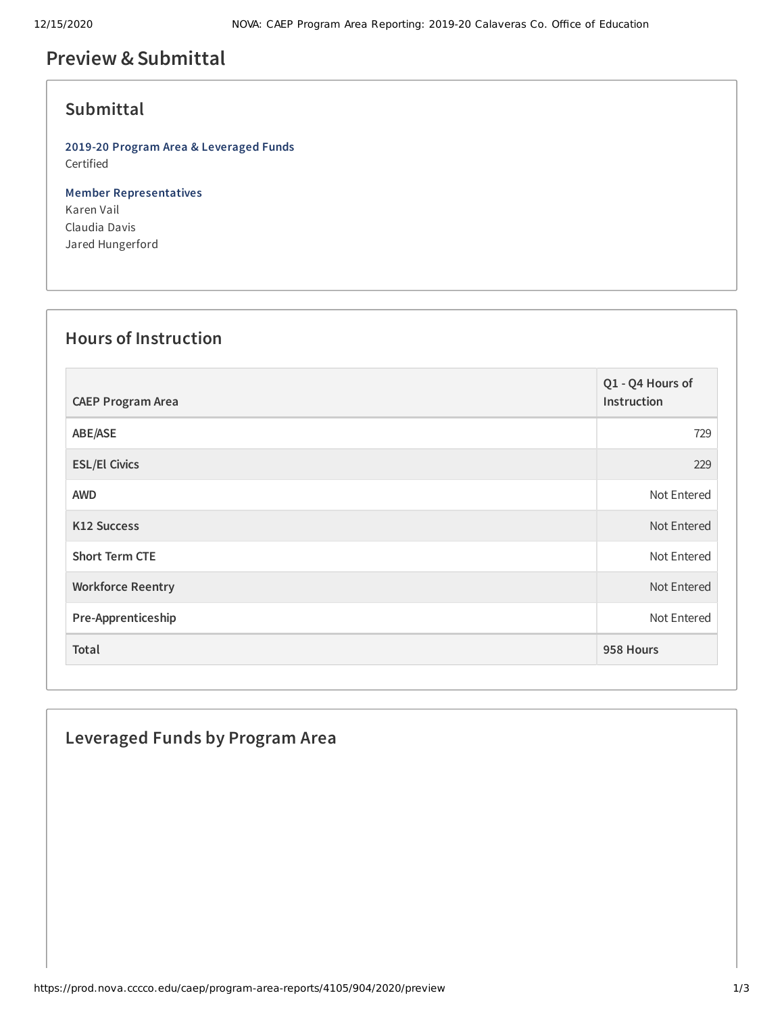# **Preview &Submittal**

#### **Submittal**

**2019-20 Program Area & Leveraged Funds** Certified

**Member Representatives** Karen Vail Claudia Davis Jared Hungerford

# **Hours of Instruction**

| <b>CAEP Program Area</b> | Q1 - Q4 Hours of<br>Instruction |
|--------------------------|---------------------------------|
| ABE/ASE                  | 729                             |
| <b>ESL/El Civics</b>     | 229                             |
| <b>AWD</b>               | Not Entered                     |
| K12 Success              | Not Entered                     |
| <b>Short Term CTE</b>    | Not Entered                     |
| <b>Workforce Reentry</b> | Not Entered                     |
| Pre-Apprenticeship       | Not Entered                     |
| Total                    | 958 Hours                       |

### **Leveraged Funds by Program Area**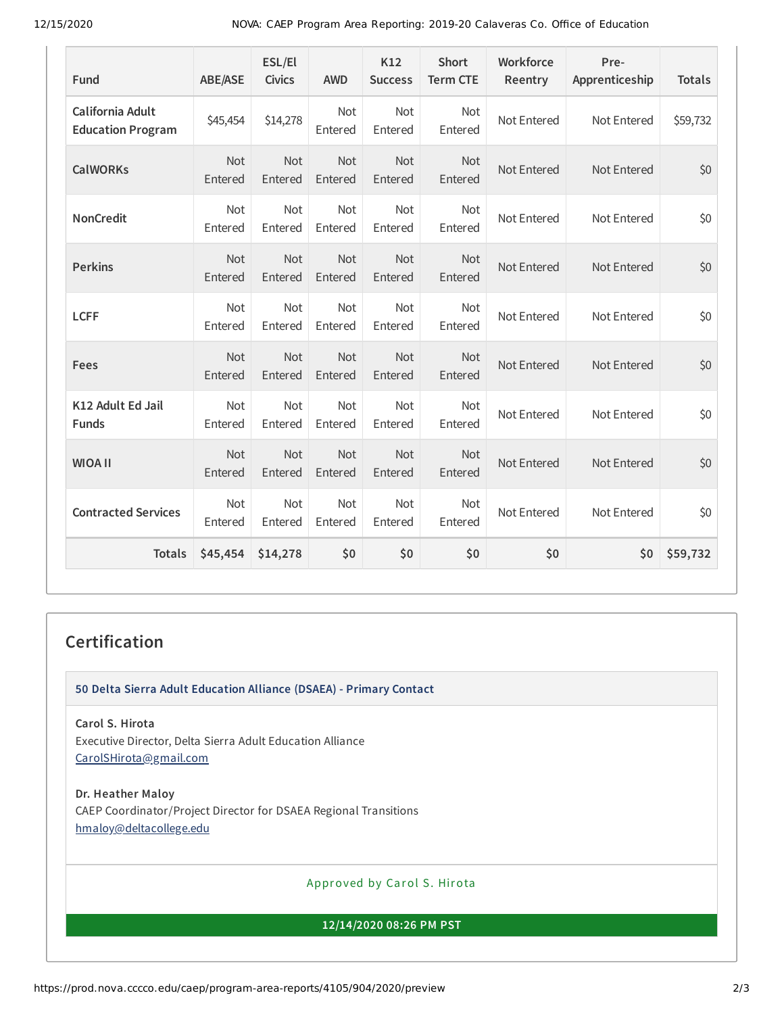12/15/2020 NOVA: CAEP Program Area Reporting: 2019-20 Calaveras Co. Office of Education

| Fund                                         | <b>ABE/ASE</b>        | ESL/El<br><b>Civics</b> | <b>AWD</b>            | K12<br><b>Success</b> | <b>Short</b><br><b>Term CTE</b> | Workforce<br>Reentry | Pre-<br>Apprenticeship | <b>Totals</b> |
|----------------------------------------------|-----------------------|-------------------------|-----------------------|-----------------------|---------------------------------|----------------------|------------------------|---------------|
| California Adult<br><b>Education Program</b> | \$45,454              | \$14,278                | <b>Not</b><br>Entered | Not<br>Entered        | Not<br>Entered                  | Not Entered          | Not Entered            | \$59,732      |
| <b>CalWORKs</b>                              | <b>Not</b><br>Entered | <b>Not</b><br>Entered   | <b>Not</b><br>Entered | Not<br>Entered        | <b>Not</b><br>Entered           | Not Entered          | Not Entered            | \$0           |
| <b>NonCredit</b>                             | Not<br>Entered        | Not<br>Entered          | Not<br>Entered        | Not<br>Entered        | Not<br>Entered                  | Not Entered          | Not Entered            | \$0           |
| <b>Perkins</b>                               | Not<br>Entered        | Not<br>Entered          | Not<br>Entered        | Not<br>Entered        | Not<br>Entered                  | Not Entered          | Not Entered            | \$0           |
| <b>LCFF</b>                                  | <b>Not</b><br>Entered | Not<br>Entered          | Not<br>Entered        | Not<br>Entered        | Not<br>Entered                  | Not Entered          | Not Entered            | \$0           |
| Fees                                         | Not<br>Entered        | Not<br>Entered          | Not<br>Entered        | Not<br>Entered        | Not<br>Entered                  | Not Entered          | Not Entered            | \$0           |
| K12 Adult Ed Jail<br><b>Funds</b>            | Not<br>Entered        | <b>Not</b><br>Entered   | <b>Not</b><br>Entered | Not<br>Entered        | Not<br>Entered                  | Not Entered          | Not Entered            | \$0           |
| <b>WIOA II</b>                               | Not<br>Entered        | Not<br>Entered          | Not<br>Entered        | Not<br>Entered        | Not<br>Entered                  | Not Entered          | Not Entered            | \$0           |
| <b>Contracted Services</b>                   | Not<br>Entered        | Not<br>Entered          | Not<br>Entered        | Not<br>Entered        | Not<br>Entered                  | Not Entered          | Not Entered            | \$0           |
| <b>Totals</b>                                | \$45,454              | \$14,278                | \$0                   | \$0                   | \$0                             | \$0                  | \$0                    | \$59,732      |

#### **Certification**

**50 Delta Sierra Adult Education Alliance (DSAEA) - Primary Contact**

**Carol S. Hirota** Executive Director, Delta Sierra Adult Education Alliance [CarolSHirota@gmail.com](mailto:CarolSHirota@gmail.com)

**Dr. Heather Maloy** CAEP Coordinator/Project Director for DSAEA Regional Transitions [hmaloy@deltacollege.edu](mailto:hmaloy@deltacollege.edu)

Approved by Carol S. Hirota

**12/14/2020 08:26 PM PST**